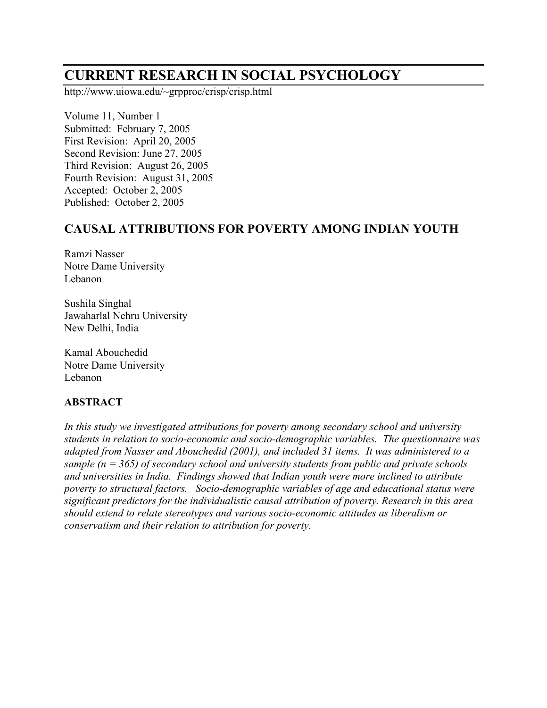# **CURRENT RESEARCH IN SOCIAL PSYCHOLOGY**

http://www.uiowa.edu/~grpproc/crisp/crisp.html

Volume 11, Number 1 Submitted: February 7, 2005 First Revision: April 20, 2005 Second Revision: June 27, 2005 Third Revision: August 26, 2005 Fourth Revision: August 31, 2005 Accepted: October 2, 2005 Published: October 2, 2005

# **CAUSAL ATTRIBUTIONS FOR POVERTY AMONG INDIAN YOUTH**

Ramzi Nasser Notre Dame University Lebanon

Sushila Singhal Jawaharlal Nehru University New Delhi, India

Kamal Abouchedid Notre Dame University Lebanon

#### **ABSTRACT**

*In this study we investigated attributions for poverty among secondary school and university students in relation to socio-economic and socio-demographic variables. The questionnaire was adapted from Nasser and Abouchedid (2001), and included 31 items. It was administered to a sample (n = 365) of secondary school and university students from public and private schools and universities in India. Findings showed that Indian youth were more inclined to attribute poverty to structural factors. Socio-demographic variables of age and educational status were significant predictors for the individualistic causal attribution of poverty. Research in this area should extend to relate stereotypes and various socio-economic attitudes as liberalism or conservatism and their relation to attribution for poverty.*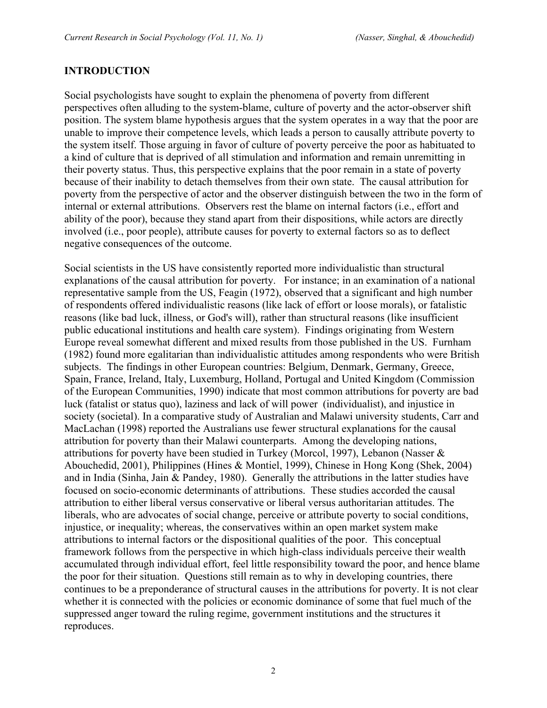### **INTRODUCTION**

Social psychologists have sought to explain the phenomena of poverty from different perspectives often alluding to the system-blame, culture of poverty and the actor-observer shift position. The system blame hypothesis argues that the system operates in a way that the poor are unable to improve their competence levels, which leads a person to causally attribute poverty to the system itself. Those arguing in favor of culture of poverty perceive the poor as habituated to a kind of culture that is deprived of all stimulation and information and remain unremitting in their poverty status. Thus, this perspective explains that the poor remain in a state of poverty because of their inability to detach themselves from their own state. The causal attribution for poverty from the perspective of actor and the observer distinguish between the two in the form of internal or external attributions. Observers rest the blame on internal factors (i.e., effort and ability of the poor), because they stand apart from their dispositions, while actors are directly involved (i.e., poor people), attribute causes for poverty to external factors so as to deflect negative consequences of the outcome.

Social scientists in the US have consistently reported more individualistic than structural explanations of the causal attribution for poverty. For instance; in an examination of a national representative sample from the US, Feagin (1972), observed that a significant and high number of respondents offered individualistic reasons (like lack of effort or loose morals), or fatalistic reasons (like bad luck, illness, or God's will), rather than structural reasons (like insufficient public educational institutions and health care system). Findings originating from Western Europe reveal somewhat different and mixed results from those published in the US. Furnham (1982) found more egalitarian than individualistic attitudes among respondents who were British subjects. The findings in other European countries: Belgium, Denmark, Germany, Greece, Spain, France, Ireland, Italy, Luxemburg, Holland, Portugal and United Kingdom (Commission of the European Communities, 1990) indicate that most common attributions for poverty are bad luck (fatalist or status quo), laziness and lack of will power (individualist), and injustice in society (societal). In a comparative study of Australian and Malawi university students, Carr and MacLachan (1998) reported the Australians use fewer structural explanations for the causal attribution for poverty than their Malawi counterparts. Among the developing nations, attributions for poverty have been studied in Turkey (Morcol, 1997), Lebanon (Nasser & Abouchedid, 2001), Philippines (Hines & Montiel, 1999), Chinese in Hong Kong (Shek, 2004) and in India (Sinha, Jain & Pandey, 1980). Generally the attributions in the latter studies have focused on socio-economic determinants of attributions. These studies accorded the causal attribution to either liberal versus conservative or liberal versus authoritarian attitudes. The liberals, who are advocates of social change, perceive or attribute poverty to social conditions, injustice, or inequality; whereas, the conservatives within an open market system make attributions to internal factors or the dispositional qualities of the poor. This conceptual framework follows from the perspective in which high-class individuals perceive their wealth accumulated through individual effort, feel little responsibility toward the poor, and hence blame the poor for their situation. Questions still remain as to why in developing countries, there continues to be a preponderance of structural causes in the attributions for poverty. It is not clear whether it is connected with the policies or economic dominance of some that fuel much of the suppressed anger toward the ruling regime, government institutions and the structures it reproduces.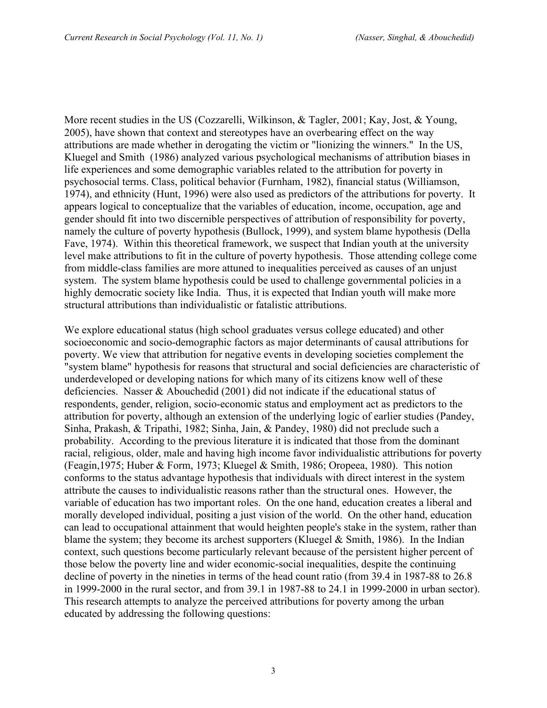More recent studies in the US (Cozzarelli, Wilkinson, & Tagler, 2001; Kay, Jost, & Young, 2005), have shown that context and stereotypes have an overbearing effect on the way attributions are made whether in derogating the victim or "lionizing the winners." In the US, Kluegel and Smith (1986) analyzed various psychological mechanisms of attribution biases in life experiences and some demographic variables related to the attribution for poverty in psychosocial terms. Class, political behavior (Furnham, 1982), financial status (Williamson, 1974), and ethnicity (Hunt, 1996) were also used as predictors of the attributions for poverty. It appears logical to conceptualize that the variables of education, income, occupation, age and gender should fit into two discernible perspectives of attribution of responsibility for poverty, namely the culture of poverty hypothesis (Bullock, 1999), and system blame hypothesis (Della Fave, 1974). Within this theoretical framework, we suspect that Indian youth at the university level make attributions to fit in the culture of poverty hypothesis. Those attending college come from middle-class families are more attuned to inequalities perceived as causes of an unjust system. The system blame hypothesis could be used to challenge governmental policies in a highly democratic society like India. Thus, it is expected that Indian youth will make more structural attributions than individualistic or fatalistic attributions.

We explore educational status (high school graduates versus college educated) and other socioeconomic and socio-demographic factors as major determinants of causal attributions for poverty. We view that attribution for negative events in developing societies complement the "system blame" hypothesis for reasons that structural and social deficiencies are characteristic of underdeveloped or developing nations for which many of its citizens know well of these deficiencies. Nasser & Abouchedid (2001) did not indicate if the educational status of respondents, gender, religion, socio-economic status and employment act as predictors to the attribution for poverty, although an extension of the underlying logic of earlier studies (Pandey, Sinha, Prakash, & Tripathi, 1982; Sinha, Jain, & Pandey, 1980) did not preclude such a probability. According to the previous literature it is indicated that those from the dominant racial, religious, older, male and having high income favor individualistic attributions for poverty (Feagin,1975; Huber & Form, 1973; Kluegel & Smith, 1986; Oropeea, 1980). This notion conforms to the status advantage hypothesis that individuals with direct interest in the system attribute the causes to individualistic reasons rather than the structural ones. However, the variable of education has two important roles. On the one hand, education creates a liberal and morally developed individual, positing a just vision of the world. On the other hand, education can lead to occupational attainment that would heighten people's stake in the system, rather than blame the system; they become its archest supporters (Kluegel  $& Smith, 1986$ ). In the Indian context, such questions become particularly relevant because of the persistent higher percent of those below the poverty line and wider economic-social inequalities, despite the continuing decline of poverty in the nineties in terms of the head count ratio (from 39.4 in 1987-88 to 26.8 in 1999-2000 in the rural sector, and from 39.1 in 1987-88 to 24.1 in 1999-2000 in urban sector). This research attempts to analyze the perceived attributions for poverty among the urban educated by addressing the following questions: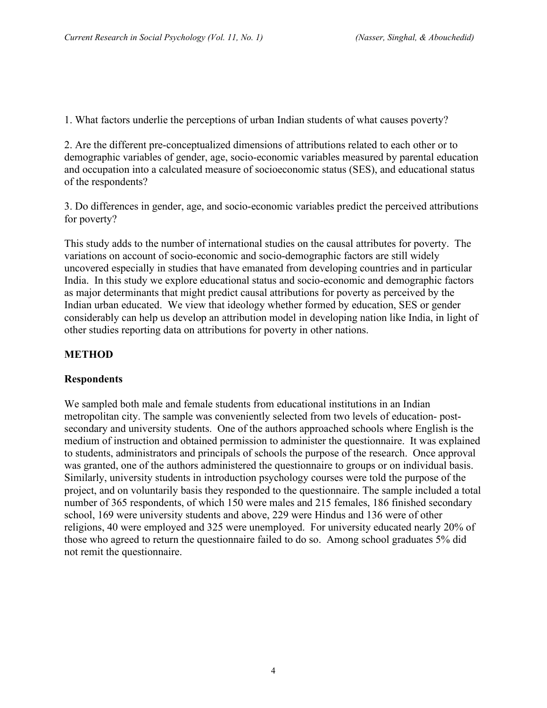1. What factors underlie the perceptions of urban Indian students of what causes poverty?

2. Are the different pre-conceptualized dimensions of attributions related to each other or to demographic variables of gender, age, socio-economic variables measured by parental education and occupation into a calculated measure of socioeconomic status (SES), and educational status of the respondents?

3. Do differences in gender, age, and socio-economic variables predict the perceived attributions for poverty?

This study adds to the number of international studies on the causal attributes for poverty. The variations on account of socio-economic and socio-demographic factors are still widely uncovered especially in studies that have emanated from developing countries and in particular India. In this study we explore educational status and socio-economic and demographic factors as major determinants that might predict causal attributions for poverty as perceived by the Indian urban educated. We view that ideology whether formed by education, SES or gender considerably can help us develop an attribution model in developing nation like India, in light of other studies reporting data on attributions for poverty in other nations.

# **METHOD**

# **Respondents**

We sampled both male and female students from educational institutions in an Indian metropolitan city. The sample was conveniently selected from two levels of education- postsecondary and university students. One of the authors approached schools where English is the medium of instruction and obtained permission to administer the questionnaire. It was explained to students, administrators and principals of schools the purpose of the research. Once approval was granted, one of the authors administered the questionnaire to groups or on individual basis. Similarly, university students in introduction psychology courses were told the purpose of the project, and on voluntarily basis they responded to the questionnaire. The sample included a total number of 365 respondents, of which 150 were males and 215 females, 186 finished secondary school, 169 were university students and above, 229 were Hindus and 136 were of other religions, 40 were employed and 325 were unemployed. For university educated nearly 20% of those who agreed to return the questionnaire failed to do so. Among school graduates 5% did not remit the questionnaire.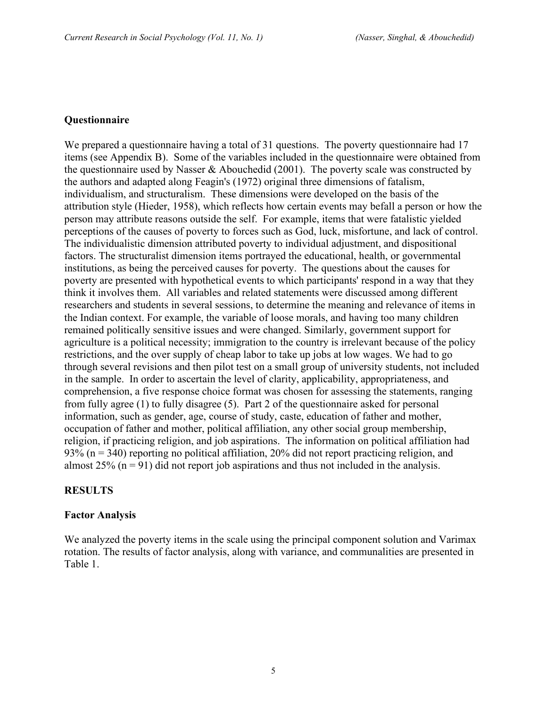#### **Questionnaire**

We prepared a questionnaire having a total of 31 questions. The poverty questionnaire had 17 items (see Appendix B). Some of the variables included in the questionnaire were obtained from the questionnaire used by Nasser  $&$  Abouchedid (2001). The poverty scale was constructed by the authors and adapted along Feagin's (1972) original three dimensions of fatalism, individualism, and structuralism. These dimensions were developed on the basis of the attribution style (Hieder, 1958), which reflects how certain events may befall a person or how the person may attribute reasons outside the self. For example, items that were fatalistic yielded perceptions of the causes of poverty to forces such as God, luck, misfortune, and lack of control. The individualistic dimension attributed poverty to individual adjustment, and dispositional factors. The structuralist dimension items portrayed the educational, health, or governmental institutions, as being the perceived causes for poverty. The questions about the causes for poverty are presented with hypothetical events to which participants' respond in a way that they think it involves them. All variables and related statements were discussed among different researchers and students in several sessions, to determine the meaning and relevance of items in the Indian context. For example, the variable of loose morals, and having too many children remained politically sensitive issues and were changed. Similarly, government support for agriculture is a political necessity; immigration to the country is irrelevant because of the policy restrictions, and the over supply of cheap labor to take up jobs at low wages. We had to go through several revisions and then pilot test on a small group of university students, not included in the sample. In order to ascertain the level of clarity, applicability, appropriateness, and comprehension, a five response choice format was chosen for assessing the statements, ranging from fully agree (1) to fully disagree (5). Part 2 of the questionnaire asked for personal information, such as gender, age, course of study, caste, education of father and mother, occupation of father and mother, political affiliation, any other social group membership, religion, if practicing religion, and job aspirations. The information on political affiliation had 93% (n = 340) reporting no political affiliation, 20% did not report practicing religion, and almost  $25\%$  (n = 91) did not report job aspirations and thus not included in the analysis.

## **RESULTS**

#### **Factor Analysis**

We analyzed the poverty items in the scale using the principal component solution and Varimax rotation. The results of factor analysis, along with variance, and communalities are presented in Table 1.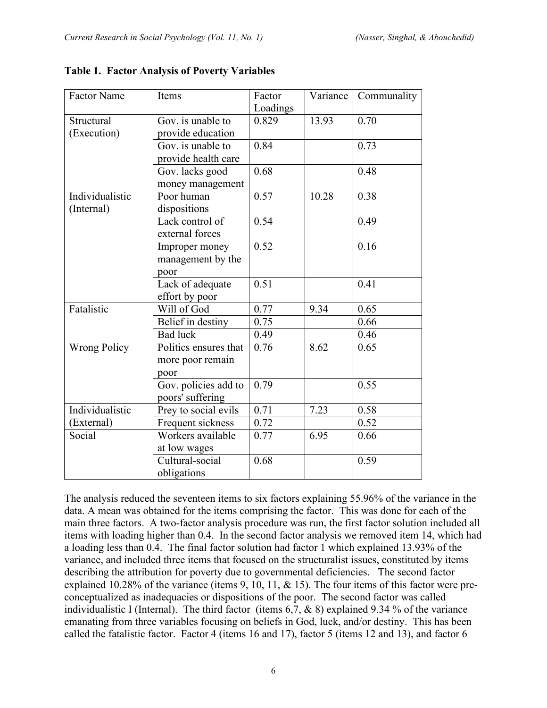| <b>Factor Name</b>  | Items                 | Factor   | Variance | Communality |
|---------------------|-----------------------|----------|----------|-------------|
|                     |                       | Loadings |          |             |
| Structural          | Gov. is unable to     | 0.829    | 13.93    | 0.70        |
| (Execution)         | provide education     |          |          |             |
|                     | Gov. is unable to     | 0.84     |          | 0.73        |
|                     | provide health care   |          |          |             |
|                     | Gov. lacks good       | 0.68     |          | 0.48        |
|                     | money management      |          |          |             |
| Individualistic     | Poor human            | 0.57     | 10.28    | 0.38        |
| (Internal)          | dispositions          |          |          |             |
|                     | Lack control of       | 0.54     |          | 0.49        |
|                     | external forces       |          |          |             |
|                     | Improper money        | 0.52     |          | 0.16        |
|                     | management by the     |          |          |             |
|                     | poor                  |          |          |             |
|                     | Lack of adequate      | 0.51     |          | 0.41        |
|                     | effort by poor        |          |          |             |
| Fatalistic          | Will of God           | 0.77     | 9.34     | 0.65        |
|                     | Belief in destiny     | 0.75     |          | 0.66        |
|                     | <b>Bad</b> luck       | 0.49     |          | 0.46        |
| <b>Wrong Policy</b> | Politics ensures that | 0.76     | 8.62     | 0.65        |
|                     | more poor remain      |          |          |             |
|                     | poor                  |          |          |             |
|                     | Gov. policies add to  | 0.79     |          | 0.55        |
|                     | poors' suffering      |          |          |             |
| Individualistic     | Prey to social evils  | 0.71     | 7.23     | 0.58        |
| (External)          | Frequent sickness     | 0.72     |          | 0.52        |
| Social              | Workers available     | 0.77     | 6.95     | 0.66        |
|                     | at low wages          |          |          |             |
|                     | Cultural-social       | 0.68     |          | 0.59        |
|                     | obligations           |          |          |             |

#### **Table 1. Factor Analysis of Poverty Variables**

The analysis reduced the seventeen items to six factors explaining 55.96% of the variance in the data. A mean was obtained for the items comprising the factor. This was done for each of the main three factors. A two-factor analysis procedure was run, the first factor solution included all items with loading higher than 0.4. In the second factor analysis we removed item 14, which had a loading less than 0.4. The final factor solution had factor 1 which explained 13.93% of the variance, and included three items that focused on the structuralist issues, constituted by items describing the attribution for poverty due to governmental deficiencies. The second factor explained 10.28% of the variance (items 9, 10, 11, & 15). The four items of this factor were preconceptualized as inadequacies or dispositions of the poor. The second factor was called individualistic I (Internal). The third factor (items  $6,7, \& 8$ ) explained 9.34 % of the variance emanating from three variables focusing on beliefs in God, luck, and/or destiny. This has been called the fatalistic factor. Factor 4 (items 16 and 17), factor 5 (items 12 and 13), and factor 6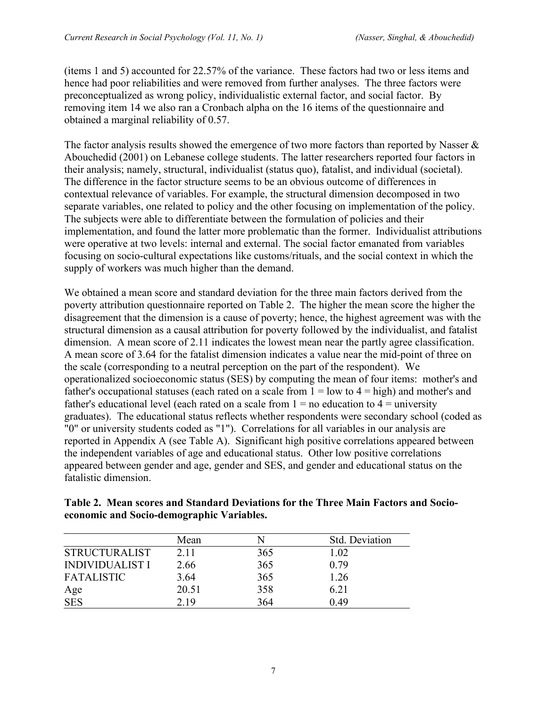(items 1 and 5) accounted for 22.57% of the variance. These factors had two or less items and hence had poor reliabilities and were removed from further analyses. The three factors were preconceptualized as wrong policy, individualistic external factor, and social factor. By removing item 14 we also ran a Cronbach alpha on the 16 items of the questionnaire and obtained a marginal reliability of 0.57.

The factor analysis results showed the emergence of two more factors than reported by Nasser & Abouchedid (2001) on Lebanese college students. The latter researchers reported four factors in their analysis; namely, structural, individualist (status quo), fatalist, and individual (societal). The difference in the factor structure seems to be an obvious outcome of differences in contextual relevance of variables. For example, the structural dimension decomposed in two separate variables, one related to policy and the other focusing on implementation of the policy. The subjects were able to differentiate between the formulation of policies and their implementation, and found the latter more problematic than the former. Individualist attributions were operative at two levels: internal and external. The social factor emanated from variables focusing on socio-cultural expectations like customs/rituals, and the social context in which the supply of workers was much higher than the demand.

We obtained a mean score and standard deviation for the three main factors derived from the poverty attribution questionnaire reported on Table 2. The higher the mean score the higher the disagreement that the dimension is a cause of poverty; hence, the highest agreement was with the structural dimension as a causal attribution for poverty followed by the individualist, and fatalist dimension. A mean score of 2.11 indicates the lowest mean near the partly agree classification. A mean score of 3.64 for the fatalist dimension indicates a value near the mid-point of three on the scale (corresponding to a neutral perception on the part of the respondent). We operationalized socioeconomic status (SES) by computing the mean of four items: mother's and father's occupational statuses (each rated on a scale from  $1 =$  low to  $4 =$  high) and mother's and father's educational level (each rated on a scale from  $1 =$  no education to  $4 =$  university graduates). The educational status reflects whether respondents were secondary school (coded as "0" or university students coded as "1"). Correlations for all variables in our analysis are reported in Appendix A (see Table A). Significant high positive correlations appeared between the independent variables of age and educational status. Other low positive correlations appeared between gender and age, gender and SES, and gender and educational status on the fatalistic dimension.

| Table 2. Mean scores and Standard Deviations for the Three Main Factors and Socio- |  |  |
|------------------------------------------------------------------------------------|--|--|
| economic and Socio-demographic Variables.                                          |  |  |

|                        | Mean  |     | Std. Deviation |
|------------------------|-------|-----|----------------|
| <b>STRUCTURALIST</b>   | 2.11  | 365 | 1.02           |
| <b>INDIVIDUALIST I</b> | 2.66  | 365 | 0.79           |
| <b>FATALISTIC</b>      | 3.64  | 365 | 1.26           |
| Age                    | 20.51 | 358 | 6.21           |
| <b>SES</b>             | 2.19  | 364 | 0.49           |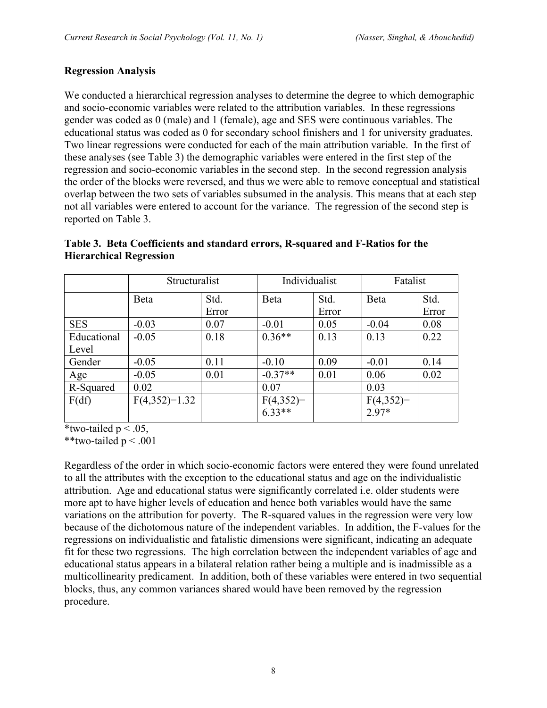#### **Regression Analysis**

We conducted a hierarchical regression analyses to determine the degree to which demographic and socio-economic variables were related to the attribution variables. In these regressions gender was coded as 0 (male) and 1 (female), age and SES were continuous variables. The educational status was coded as 0 for secondary school finishers and 1 for university graduates. Two linear regressions were conducted for each of the main attribution variable. In the first of these analyses (see Table 3) the demographic variables were entered in the first step of the regression and socio-economic variables in the second step. In the second regression analysis the order of the blocks were reversed, and thus we were able to remove conceptual and statistical overlap between the two sets of variables subsumed in the analysis. This means that at each step not all variables were entered to account for the variance. The regression of the second step is reported on Table 3.

|             | Structuralist   |       | Individualist         |       | Fatalist    |       |
|-------------|-----------------|-------|-----------------------|-------|-------------|-------|
|             | Beta            | Std.  | Beta                  | Std.  | Beta        | Std.  |
|             |                 | Error |                       | Error |             | Error |
| <b>SES</b>  | $-0.03$         | 0.07  | $-0.01$               | 0.05  | $-0.04$     | 0.08  |
| Educational | $-0.05$         | 0.18  | $0.36**$              | 0.13  | 0.13        | 0.22  |
| Level       |                 |       |                       |       |             |       |
| Gender      | $-0.05$         | 0.11  | $-0.10$               | 0.09  | $-0.01$     | 0.14  |
| Age         | $-0.05$         | 0.01  | $-0.37**$             | 0.01  | 0.06        | 0.02  |
| R-Squared   | 0.02            |       | 0.07                  |       | 0.03        |       |
| F(df)       | $F(4,352)=1.32$ |       | $F(4,352)=$<br>6.33** |       | $F(4,352)=$ |       |
|             |                 |       |                       |       | $2.97*$     |       |

| Table 3. Beta Coefficients and standard errors, R-squared and F-Ratios for the |  |  |
|--------------------------------------------------------------------------------|--|--|
| <b>Hierarchical Regression</b>                                                 |  |  |

\*two-tailed  $p < .05$ ,

\*\*two-tailed  $p < .001$ 

Regardless of the order in which socio-economic factors were entered they were found unrelated to all the attributes with the exception to the educational status and age on the individualistic attribution. Age and educational status were significantly correlated i.e. older students were more apt to have higher levels of education and hence both variables would have the same variations on the attribution for poverty. The R-squared values in the regression were very low because of the dichotomous nature of the independent variables. In addition, the F-values for the regressions on individualistic and fatalistic dimensions were significant, indicating an adequate fit for these two regressions. The high correlation between the independent variables of age and educational status appears in a bilateral relation rather being a multiple and is inadmissible as a multicollinearity predicament. In addition, both of these variables were entered in two sequential blocks, thus, any common variances shared would have been removed by the regression procedure.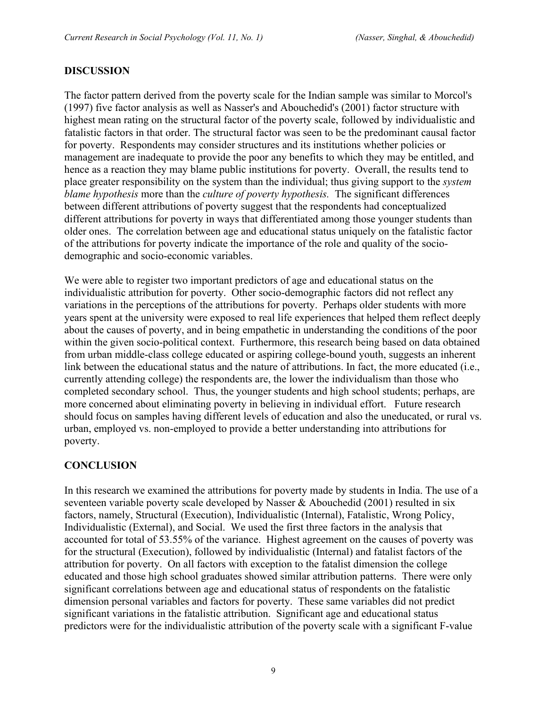## **DISCUSSION**

The factor pattern derived from the poverty scale for the Indian sample was similar to Morcol's (1997) five factor analysis as well as Nasser's and Abouchedid's (2001) factor structure with highest mean rating on the structural factor of the poverty scale, followed by individualistic and fatalistic factors in that order. The structural factor was seen to be the predominant causal factor for poverty. Respondents may consider structures and its institutions whether policies or management are inadequate to provide the poor any benefits to which they may be entitled, and hence as a reaction they may blame public institutions for poverty. Overall, the results tend to place greater responsibility on the system than the individual; thus giving support to the *system blame hypothesis* more than the *culture of poverty hypothesis.* The significant differences between different attributions of poverty suggest that the respondents had conceptualized different attributions for poverty in ways that differentiated among those younger students than older ones. The correlation between age and educational status uniquely on the fatalistic factor of the attributions for poverty indicate the importance of the role and quality of the sociodemographic and socio-economic variables.

We were able to register two important predictors of age and educational status on the individualistic attribution for poverty. Other socio-demographic factors did not reflect any variations in the perceptions of the attributions for poverty. Perhaps older students with more years spent at the university were exposed to real life experiences that helped them reflect deeply about the causes of poverty, and in being empathetic in understanding the conditions of the poor within the given socio-political context.Furthermore, this research being based on data obtained from urban middle-class college educated or aspiring college-bound youth, suggests an inherent link between the educational status and the nature of attributions. In fact, the more educated (i.e., currently attending college) the respondents are, the lower the individualism than those who completed secondary school. Thus, the younger students and high school students; perhaps, are more concerned about eliminating poverty in believing in individual effort. Future research should focus on samples having different levels of education and also the uneducated, or rural vs. urban, employed vs. non-employed to provide a better understanding into attributions for poverty.

# **CONCLUSION**

In this research we examined the attributions for poverty made by students in India. The use of a seventeen variable poverty scale developed by Nasser  $\&$  Abouchedid (2001) resulted in six factors, namely, Structural (Execution), Individualistic (Internal), Fatalistic, Wrong Policy, Individualistic (External), and Social. We used the first three factors in the analysis that accounted for total of 53.55% of the variance. Highest agreement on the causes of poverty was for the structural (Execution), followed by individualistic (Internal) and fatalist factors of the attribution for poverty. On all factors with exception to the fatalist dimension the college educated and those high school graduates showed similar attribution patterns. There were only significant correlations between age and educational status of respondents on the fatalistic dimension personal variables and factors for poverty. These same variables did not predict significant variations in the fatalistic attribution. Significant age and educational status predictors were for the individualistic attribution of the poverty scale with a significant F-value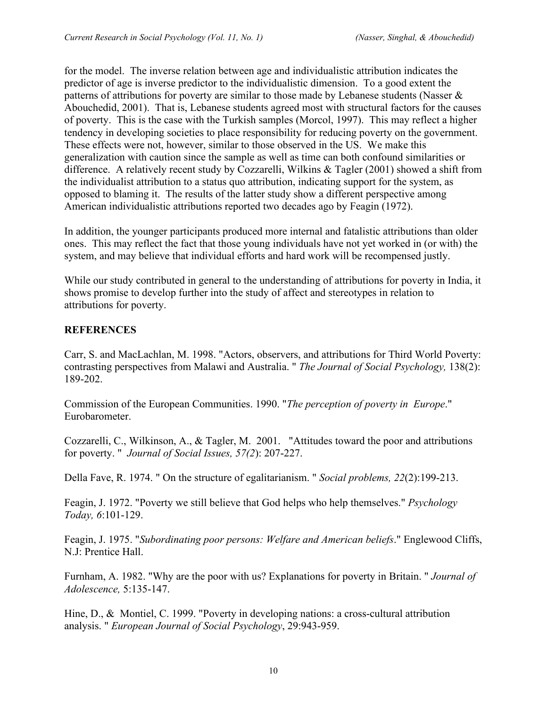for the model. The inverse relation between age and individualistic attribution indicates the predictor of age is inverse predictor to the individualistic dimension. To a good extent the patterns of attributions for poverty are similar to those made by Lebanese students (Nasser & Abouchedid, 2001). That is, Lebanese students agreed most with structural factors for the causes of poverty. This is the case with the Turkish samples (Morcol, 1997). This may reflect a higher tendency in developing societies to place responsibility for reducing poverty on the government. These effects were not, however, similar to those observed in the US. We make this generalization with caution since the sample as well as time can both confound similarities or difference. A relatively recent study by Cozzarelli, Wilkins & Tagler (2001) showed a shift from the individualist attribution to a status quo attribution, indicating support for the system, as opposed to blaming it. The results of the latter study show a different perspective among American individualistic attributions reported two decades ago by Feagin (1972).

In addition, the younger participants produced more internal and fatalistic attributions than older ones. This may reflect the fact that those young individuals have not yet worked in (or with) the system, and may believe that individual efforts and hard work will be recompensed justly.

While our study contributed in general to the understanding of attributions for poverty in India, it shows promise to develop further into the study of affect and stereotypes in relation to attributions for poverty.

# **REFERENCES**

Carr, S. and MacLachlan, M. 1998. "Actors, observers, and attributions for Third World Poverty: contrasting perspectives from Malawi and Australia. " *The Journal of Social Psychology,* 138(2): 189-202.

Commission of the European Communities. 1990. "*The perception of poverty in Europe*." Eurobarometer.

Cozzarelli, C., Wilkinson, A., & Tagler, M. 2001. "Attitudes toward the poor and attributions for poverty. " *Journal of Social Issues, 57(2*): 207-227.

Della Fave, R. 1974. " On the structure of egalitarianism. " *Social problems, 22*(2):199-213.

Feagin, J. 1972. "Poverty we still believe that God helps who help themselves." *Psychology Today, 6*:101-129.

Feagin, J. 1975. "*Subordinating poor persons: Welfare and American beliefs*." Englewood Cliffs, N.J: Prentice Hall.

Furnham, A. 1982. "Why are the poor with us? Explanations for poverty in Britain. " *Journal of Adolescence,* 5:135-147.

Hine, D., & Montiel, C. 1999. "Poverty in developing nations: a cross-cultural attribution analysis. " *European Journal of Social Psychology*, 29:943-959.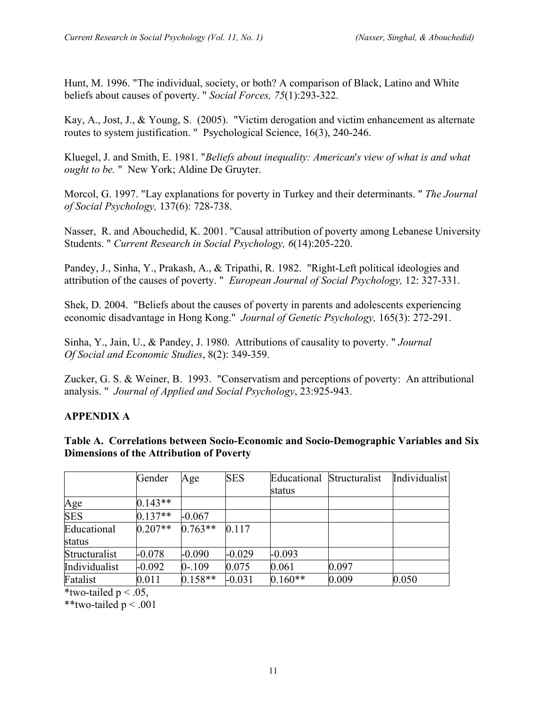Hunt, M. 1996. "The individual, society, or both? A comparison of Black, Latino and White beliefs about causes of poverty. " *Social Forces, 75*(1):293-322.

Kay, A., Jost, J., & Young, S. (2005). "Victim derogation and victim enhancement as alternate routes to system justification. " Psychological Science, 16(3), 240-246.

Kluegel, J. and Smith, E. 1981. "*Beliefs about inequality: American*'*s view of what is and what ought to be.* " New York; Aldine De Gruyter.

Morcol, G. 1997. "Lay explanations for poverty in Turkey and their determinants. " *The Journal of Social Psychology,* 137(6): 728-738.

Nasser, R. and Abouchedid, K. 2001. "Causal attribution of poverty among Lebanese University Students. " *Current Research in Social Psychology, 6*(14):205-220.

Pandey, J., Sinha, Y., Prakash, A., & Tripathi, R. 1982. "Right-Left political ideologies and attribution of the causes of poverty. " *European Journal of Social Psychology,* 12: 327-331.

Shek, D. 2004. "Beliefs about the causes of poverty in parents and adolescents experiencing economic disadvantage in Hong Kong." *Journal of Genetic Psychology,* 165(3): 272-291.

Sinha, Y., Jain, U., & Pandey, J. 1980. Attributions of causality to poverty. " *Journal Of Social and Economic Studies*, 8(2): 349-359.

Zucker, G. S. & Weiner, B. 1993. "Conservatism and perceptions of poverty: An attributional analysis. " *Journal of Applied and Social Psychology*, 23:925-943.

# **APPENDIX A**

**Table A. Correlations between Socio-Economic and Socio-Demographic Variables and Six Dimensions of the Attribution of Poverty**

|               | Gender    | Age       | <b>SES</b> |           | Educational Structuralist | Individualist |
|---------------|-----------|-----------|------------|-----------|---------------------------|---------------|
|               |           |           |            | status    |                           |               |
| <u>Age</u>    | $0.143**$ |           |            |           |                           |               |
| <b>SES</b>    | $0.137**$ | $-0.067$  |            |           |                           |               |
| Educational   | $0.207**$ | $0.763**$ | 0.117      |           |                           |               |
| status        |           |           |            |           |                           |               |
| Structuralist | $-0.078$  | $-0.090$  | $-0.029$   | $-0.093$  |                           |               |
| Individualist | $-0.092$  | $0 - 109$ | 0.075      | 0.061     | 0.097                     |               |
| Fatalist      | 0.011     | $0.158**$ | $-0.031$   | $0.160**$ | 0.009                     | 0.050         |

\*two-tailed  $p < .05$ ,

\*\*two-tailed  $p < .001$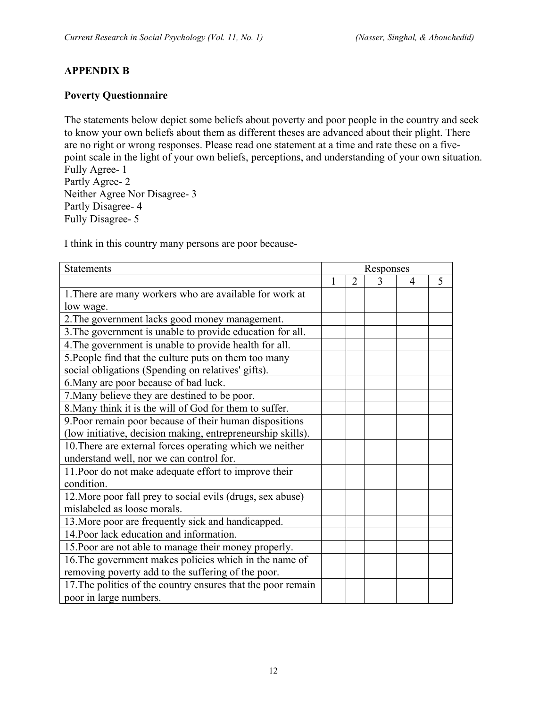# **APPENDIX B**

## **Poverty Questionnaire**

The statements below depict some beliefs about poverty and poor people in the country and seek to know your own beliefs about them as different theses are advanced about their plight. There are no right or wrong responses. Please read one statement at a time and rate these on a fivepoint scale in the light of your own beliefs, perceptions, and understanding of your own situation. Fully Agree- 1

Partly Agree- 2 Neither Agree Nor Disagree- 3 Partly Disagree- 4 Fully Disagree- 5

I think in this country many persons are poor because-

| <b>Statements</b>                                            | Responses |                |   |                |   |
|--------------------------------------------------------------|-----------|----------------|---|----------------|---|
|                                                              | 1         | $\overline{2}$ | 3 | $\overline{4}$ | 5 |
| 1. There are many workers who are available for work at      |           |                |   |                |   |
| low wage.                                                    |           |                |   |                |   |
| 2. The government lacks good money management.               |           |                |   |                |   |
| 3. The government is unable to provide education for all.    |           |                |   |                |   |
| 4. The government is unable to provide health for all.       |           |                |   |                |   |
| 5. People find that the culture puts on them too many        |           |                |   |                |   |
| social obligations (Spending on relatives' gifts).           |           |                |   |                |   |
| 6. Many are poor because of bad luck.                        |           |                |   |                |   |
| 7. Many believe they are destined to be poor.                |           |                |   |                |   |
| 8. Many think it is the will of God for them to suffer.      |           |                |   |                |   |
| 9. Poor remain poor because of their human dispositions      |           |                |   |                |   |
| (low initiative, decision making, entrepreneurship skills).  |           |                |   |                |   |
| 10. There are external forces operating which we neither     |           |                |   |                |   |
| understand well, nor we can control for.                     |           |                |   |                |   |
| 11. Poor do not make adequate effort to improve their        |           |                |   |                |   |
| condition.                                                   |           |                |   |                |   |
| 12. More poor fall prey to social evils (drugs, sex abuse)   |           |                |   |                |   |
| mislabeled as loose morals.                                  |           |                |   |                |   |
| 13. More poor are frequently sick and handicapped.           |           |                |   |                |   |
| 14. Poor lack education and information.                     |           |                |   |                |   |
| 15. Poor are not able to manage their money properly.        |           |                |   |                |   |
| 16. The government makes policies which in the name of       |           |                |   |                |   |
| removing poverty add to the suffering of the poor.           |           |                |   |                |   |
| 17. The politics of the country ensures that the poor remain |           |                |   |                |   |
| poor in large numbers.                                       |           |                |   |                |   |